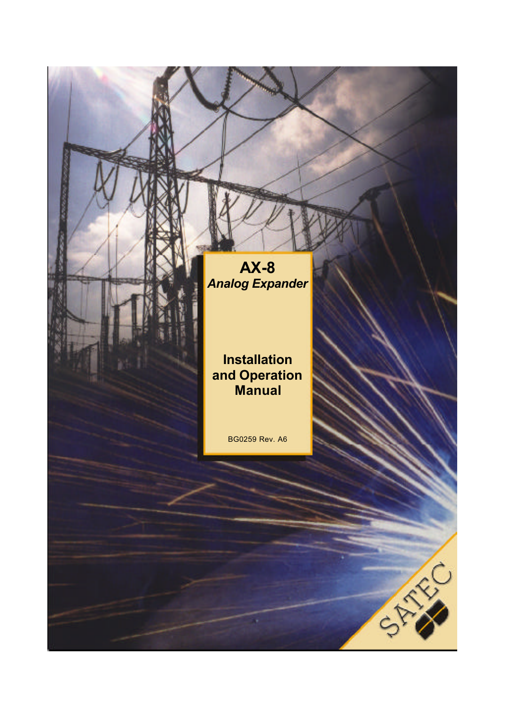**AX-8** *Analog Expander*

# **Installation and Operation Manual**

BG0259 Rev. A6

STATES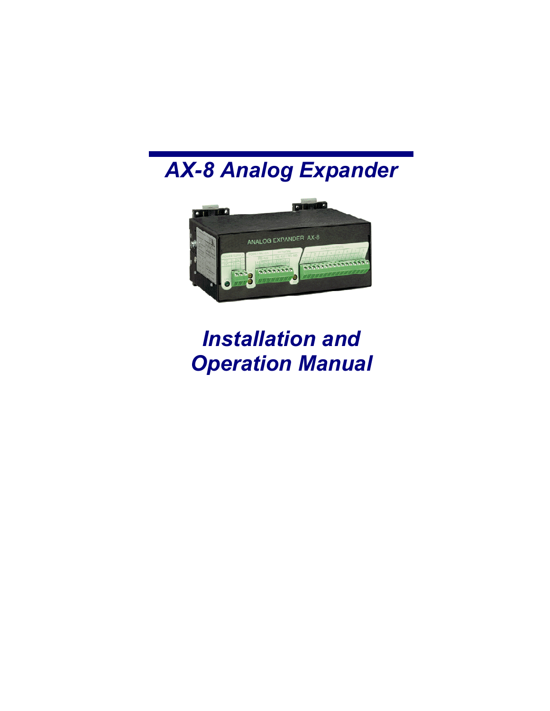# *AX-8 Analog Expander*



# *Installation and Operation Manual*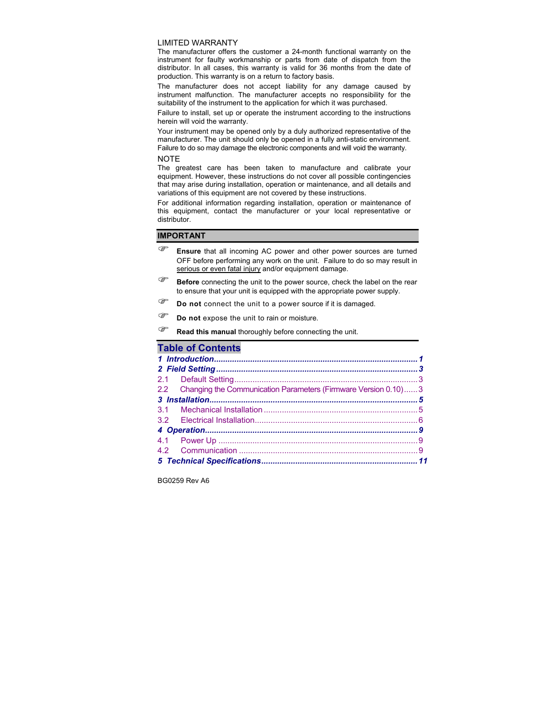#### LIMITED WARRANTY

The manufacturer offers the customer a 24-month functional warranty on the instrument for faulty workmanship or parts from date of dispatch from the distributor. In all cases, this warranty is valid for 36 months from the date of production. This warranty is on a return to factory basis.

The manufacturer does not accept liability for any damage caused by instrument malfunction. The manufacturer accepts no responsibility for the suitability of the instrument to the application for which it was purchased.

Failure to install, set up or operate the instrument according to the instructions herein will void the warranty.

Your instrument may be opened only by a duly authorized representative of the manufacturer. The unit should only be opened in a fully anti-static environment. Failure to do so may damage the electronic components and will void the warranty.

#### **NOTE**

The greatest care has been taken to manufacture and calibrate your equipment. However, these instructions do not cover all possible contingencies that may arise during installation, operation or maintenance, and all details and variations of this equipment are not covered by these instructions.

For additional information regarding installation, operation or maintenance of this equipment, contact the manufacturer or your local representative or distributor.

#### **IMPORTANT**

- ) **Ensure** that all incoming AC power and other power sources are turned OFF before performing any work on the unit. Failure to do so may result in serious or even fatal injury and/or equipment damage.
- **Before** connecting the unit to the power source, check the label on the rear to ensure that your unit is equipped with the appropriate power supply.
- ) **Do not** connect the unit to a power source if it is damaged.
- <sup> $F$  **Do not** expose the unit to rain or moisture.</sup>
- **Read this manual** thoroughly before connecting the unit.

### **Table of Contents**

| 2.2 Changing the Communication Parameters (Firmware Version 0.10) 3 |  |
|---------------------------------------------------------------------|--|
|                                                                     |  |
|                                                                     |  |
|                                                                     |  |
|                                                                     |  |
|                                                                     |  |
|                                                                     |  |
|                                                                     |  |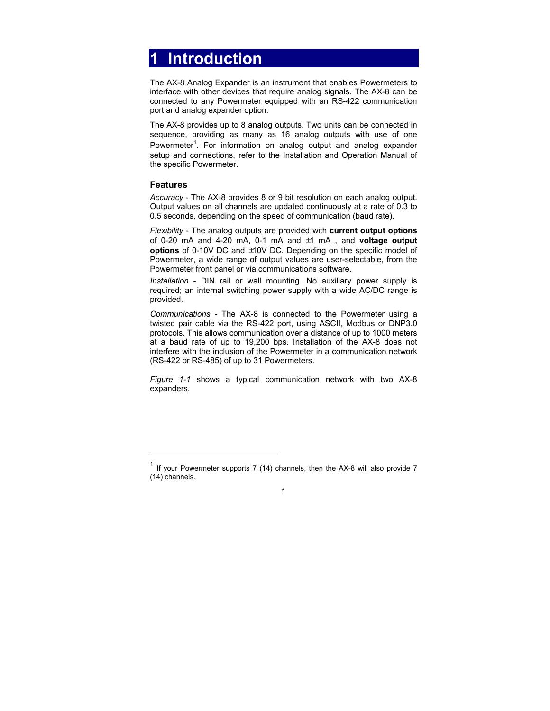# <span id="page-3-0"></span>**1 Introduction**

The AX-8 Analog Expander is an instrument that enables Powermeters to interface with other devices that require analog signals. The AX-8 can be connected to any Powermeter equipped with an RS-422 communication port and analog expander option.

The AX-8 provides up to 8 analog outputs. Two units can be connected in sequence, providing as many as 16 analog outputs with use of one Powermeter<sup>1</sup>. For information on analog output and analog expander setup and connections, refer to the Installation and Operation Manual of the specific Powermeter.

### **Features**

l

*Accuracy* - The AX-8 provides 8 or 9 bit resolution on each analog output. Output values on all channels are updated continuously at a rate of 0.3 to 0.5 seconds, depending on the speed of communication (baud rate).

*Flexibility* - The analog outputs are provided with **current output options** of 0-20 mA and 4-20 mA, 0-1 mA and ±1 mA , and **voltage output options** of 0-10V DC and ±10V DC. Depending on the specific model of Powermeter, a wide range of output values are user-selectable, from the Powermeter front panel or via communications software.

*Installation* - DIN rail or wall mounting. No auxiliary power supply is required; an internal switching power supply with a wide AC/DC range is provided.

*Communications* - The AX-8 is connected to the Powermeter using a twisted pair cable via the RS-422 port, using ASCII, Modbus or DNP3.0 protocols. This allows communication over a distance of up to 1000 meters at a baud rate of up to 19,200 bps. Installation of the AX-8 does not interfere with the inclusion of the Powermeter in a communication network (RS-422 or RS-485) of up to 31 Powermeters.

*Figure 1-1* shows a typical communication network with two AX-8 expanders.

 $1$  If your Powermeter supports 7 (14) channels, then the AX-8 will also provide 7 (14) channels.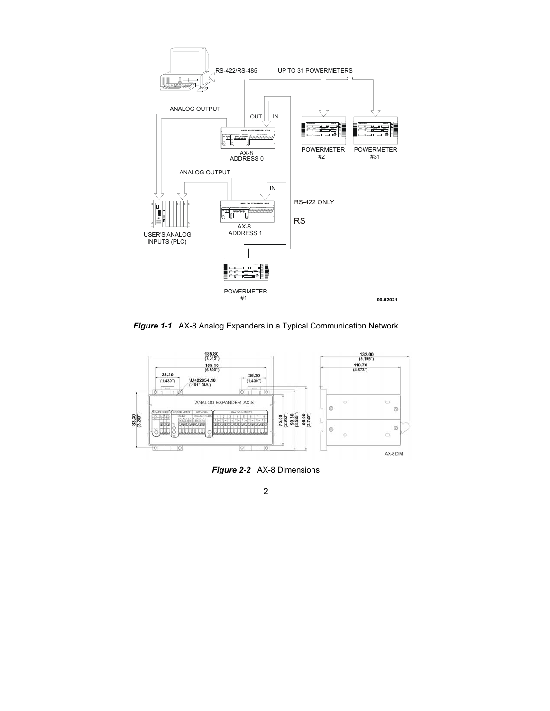

*Figure 1-1* AX-8 Analog Expanders in a Typical Communication Network



*Figure 2-2* AX-8 Dimensions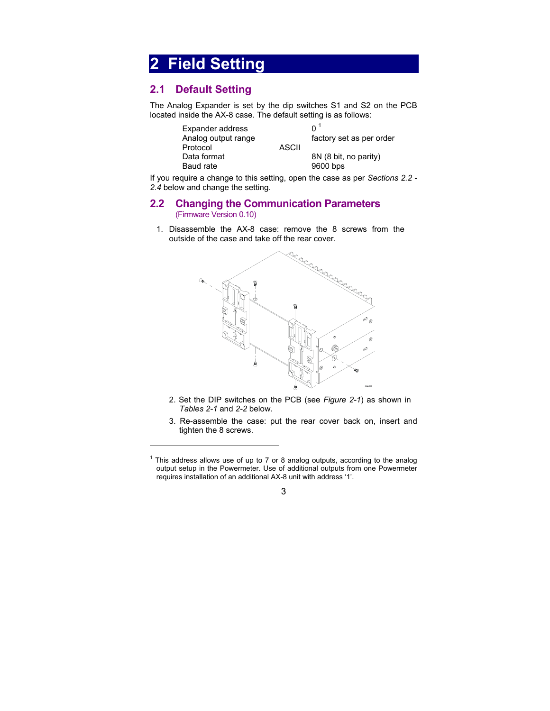# <span id="page-5-0"></span>**2 Field Setting**

# **2.1 Default Setting**

l

The Analog Expander is set by the dip switches S1 and S2 on the PCB located inside the AX-8 case. The default setting is as follows:

| Expander address<br>Analog output range |              | $\mathsf{O}^{\mathrm{T}}$<br>factory set as per order |  |
|-----------------------------------------|--------------|-------------------------------------------------------|--|
| Protocol                                | <b>ASCII</b> |                                                       |  |
| Data format                             |              | 8N (8 bit, no parity)                                 |  |
| Baud rate                               |              | 9600 bps                                              |  |

If you require a change to this setting, open the case as per *Sections 2.2 - 2.4* below and change the setting.

### **2.2 Changing the Communication Parameters** (Firmware Version 0.10)

1. Disassemble the AX-8 case: remove the 8 screws from the outside of the case and take off the rear cover.



- 2. Set the DIP switches on the PCB (see *Figure 2-1*) as shown in *Tables 2-1* and *2-2* below.
- 3. Re-assemble the case: put the rear cover back on, insert and tighten the 8 screws.

 $1$  This address allows use of up to 7 or 8 analog outputs, according to the analog output setup in the Powermeter. Use of additional outputs from one Powermeter requires installation of an additional AX-8 unit with address '1'.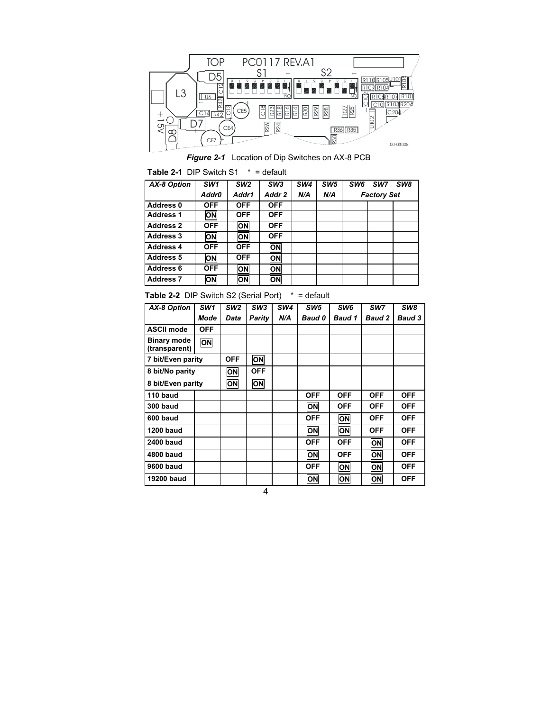

*Figure 2-1* Location of Dip Switches on AX-8 PCB

**Table 2-1** DIP Switch S1\* = default

| AX-8 Option      | SW <sub>1</sub> | SW <sub>2</sub> | SW <sub>3</sub> | SW <sub>4</sub> | SW <sub>5</sub> | SW <sub>8</sub><br>SW <sub>6</sub><br>SW7 |
|------------------|-----------------|-----------------|-----------------|-----------------|-----------------|-------------------------------------------|
|                  | Addr0           | Addr1           | Addr 2          | N/A             | N/A             | <b>Factory Set</b>                        |
| Address 0        | <b>OFF</b>      | <b>OFF</b>      | <b>OFF</b>      |                 |                 |                                           |
| <b>Address 1</b> | ON              | <b>OFF</b>      | <b>OFF</b>      |                 |                 |                                           |
| <b>Address 2</b> | <b>OFF</b>      | ON              | <b>OFF</b>      |                 |                 |                                           |
| <b>Address 3</b> | ON              | ON              | <b>OFF</b>      |                 |                 |                                           |
| <b>Address 4</b> | <b>OFF</b>      | <b>OFF</b>      | ON              |                 |                 |                                           |
| <b>Address 5</b> | ON              | <b>OFF</b>      | ON              |                 |                 |                                           |
| Address 6        | <b>OFF</b>      | ON              | ON              |                 |                 |                                           |
| <b>Address 7</b> | ON              | ON              | ON              |                 |                 |                                           |

**Table 2-2** DIP Switch S2 (Serial Port) \* = default

| AX-8 Option                         | SW <sub>1</sub> | SW <sub>2</sub> | SW3    | SW <sub>4</sub> | SW <sub>5</sub> | SW <sub>6</sub> | SW7           | SW8           |
|-------------------------------------|-----------------|-----------------|--------|-----------------|-----------------|-----------------|---------------|---------------|
|                                     |                 |                 |        |                 |                 |                 |               |               |
|                                     | Mode            | Data            | Parity | N/A             | <b>Baud 0</b>   | <b>Baud 1</b>   | <b>Baud 2</b> | <b>Baud 3</b> |
| <b>ASCII mode</b>                   | <b>OFF</b>      |                 |        |                 |                 |                 |               |               |
| <b>Binary mode</b><br>(transparent) | ON              |                 |        |                 |                 |                 |               |               |
| 7 bit/Even parity                   |                 | <b>OFF</b>      | ON     |                 |                 |                 |               |               |
| 8 bit/No parity                     | <b>ON</b>       | OFF             |        |                 |                 |                 |               |               |
| 8 bit/Even parity                   |                 | ON              | ON     |                 |                 |                 |               |               |
| 110 baud                            |                 |                 |        |                 | <b>OFF</b>      | <b>OFF</b>      | <b>OFF</b>    | <b>OFF</b>    |
| 300 baud                            |                 |                 |        |                 | ON              | <b>OFF</b>      | <b>OFF</b>    | <b>OFF</b>    |
| 600 baud                            |                 |                 |        |                 | <b>OFF</b>      | ON              | <b>OFF</b>    | <b>OFF</b>    |
| <b>1200 baud</b>                    |                 |                 |        |                 | ON              | ON              | <b>OFF</b>    | <b>OFF</b>    |
| <b>2400 baud</b>                    |                 |                 |        |                 | <b>OFF</b>      | <b>OFF</b>      | ON            | <b>OFF</b>    |
| 4800 baud                           |                 |                 |        |                 | ON              | <b>OFF</b>      | ON            | <b>OFF</b>    |
| 9600 baud                           |                 |                 |        |                 | <b>OFF</b>      | ON              | ON            | <b>OFF</b>    |
| 19200 baud                          |                 |                 |        |                 | ON              | <b>ON</b>       | ON            | <b>OFF</b>    |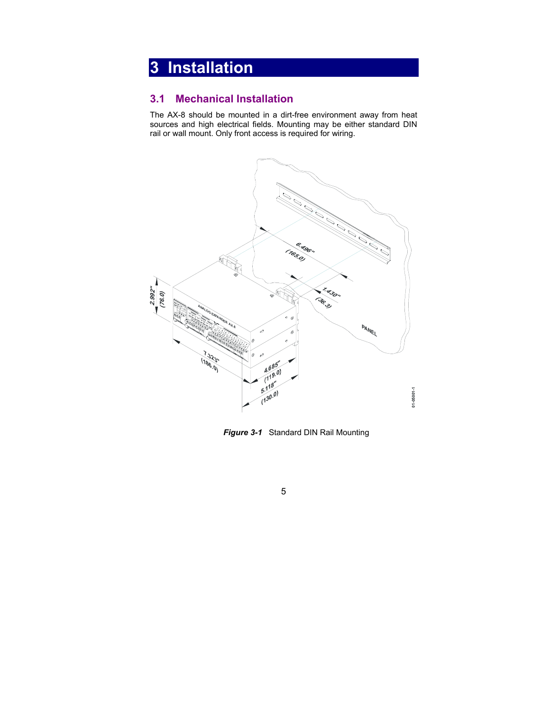# <span id="page-7-0"></span>**3 Installation**

# **3.1 Mechanical Installation**

The AX-8 should be mounted in a dirt-free environment away from heat sources and high electrical fields. Mounting may be either standard DIN rail or wall mount. Only front access is required for wiring.



*Figure 3-1* Standard DIN Rail Mounting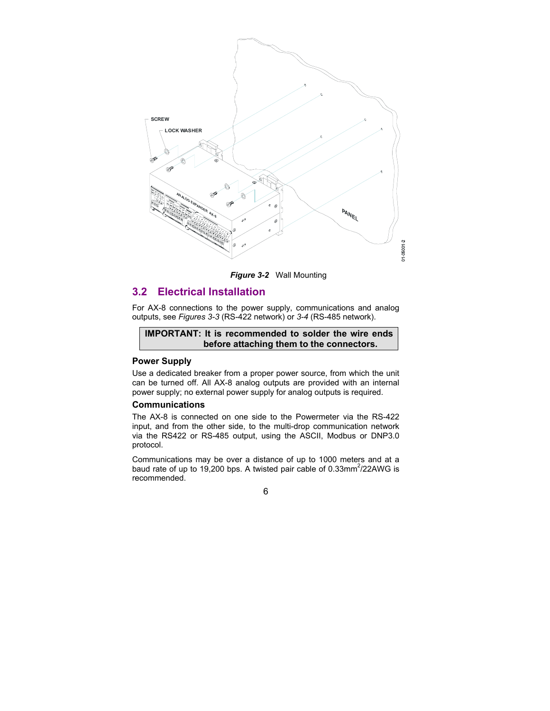<span id="page-8-0"></span>

*Figure 3-2* Wall Mounting

# **3.2 Electrical Installation**

For AX-8 connections to the power supply, communications and analog outputs, see *Figures 3-3* (RS-422 network) or *3-4* (RS-485 network).

#### **IMPORTANT: It is recommended to solder the wire ends before attaching them to the connectors.**

#### **Power Supply**

Use a dedicated breaker from a proper power source, from which the unit can be turned off. All AX-8 analog outputs are provided with an internal power supply; no external power supply for analog outputs is required.

#### **Communications**

The AX-8 is connected on one side to the Powermeter via the RS-422 input, and from the other side, to the multi-drop communication network via the RS422 or RS-485 output, using the ASCII, Modbus or DNP3.0 protocol.

Communications may be over a distance of up to 1000 meters and at a baud rate of up to 19,200 bps. A twisted pair cable of 0.33mm<sup>2</sup>/22AWG is recommended.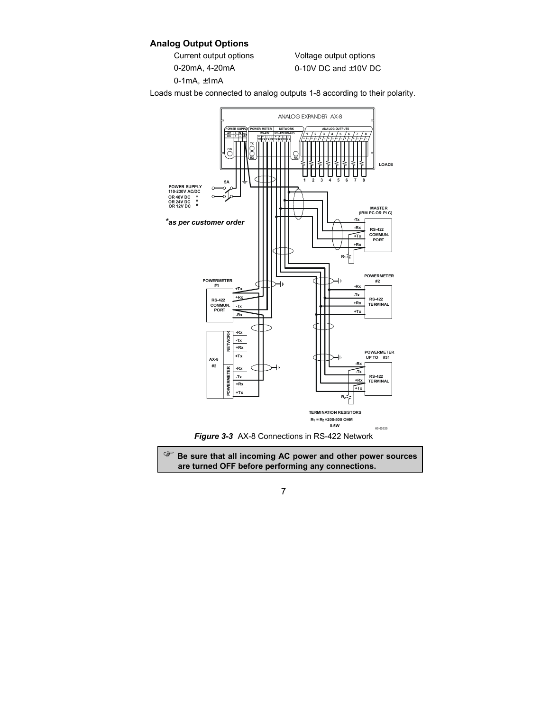### **Analog Output Options**

Current output options Voltage output options

0-20mA,  $4-20$ mA 0-10V DC and  $\pm$ 10V DC

0-1mA, ±1mA

Loads must be connected to analog outputs 1-8 according to their polarity.





) **Be sure that all incoming AC power and other power sources are turned OFF before performing any connections.**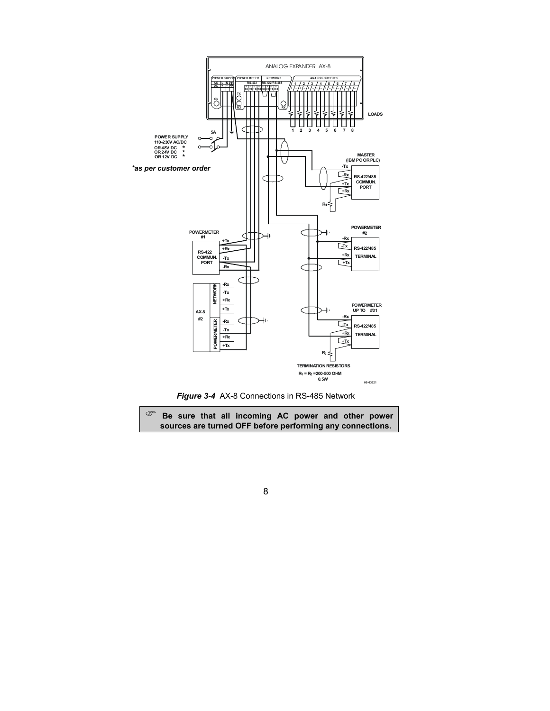



) **Be sure that all incoming AC power and other power sources are turned OFF before performing any connections.**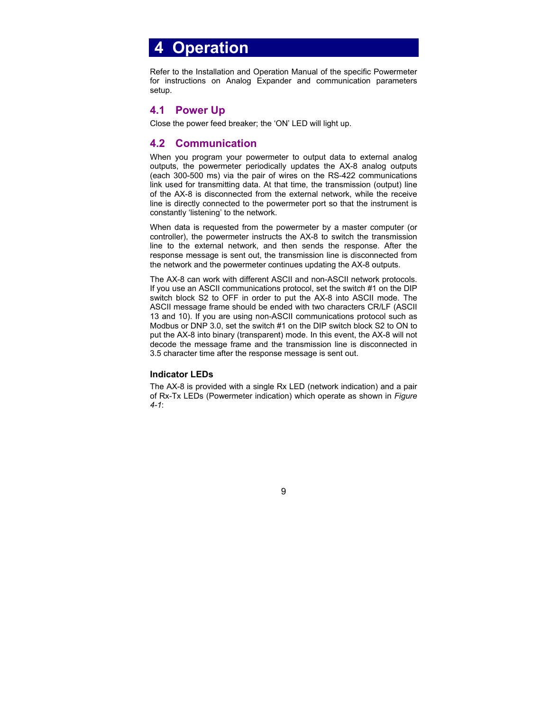# <span id="page-11-0"></span> **4 Operation**

Refer to the Installation and Operation Manual of the specific Powermeter for instructions on Analog Expander and communication parameters setup.

# **4.1 Power Up**

Close the power feed breaker; the 'ON' LED will light up.

## **4.2 Communication**

When you program your powermeter to output data to external analog outputs, the powermeter periodically updates the AX-8 analog outputs (each 300-500 ms) via the pair of wires on the RS-422 communications link used for transmitting data. At that time, the transmission (output) line of the AX-8 is disconnected from the external network, while the receive line is directly connected to the powermeter port so that the instrument is constantly 'listening' to the network.

When data is requested from the powermeter by a master computer (or controller), the powermeter instructs the AX-8 to switch the transmission line to the external network, and then sends the response. After the response message is sent out, the transmission line is disconnected from the network and the powermeter continues updating the AX-8 outputs.

The AX-8 can work with different ASCII and non-ASCII network protocols. If you use an ASCII communications protocol, set the switch #1 on the DIP switch block S2 to OFF in order to put the AX-8 into ASCII mode. The ASCII message frame should be ended with two characters CR/LF (ASCII 13 and 10). If you are using non-ASCII communications protocol such as Modbus or DNP 3.0, set the switch #1 on the DIP switch block S2 to ON to put the AX-8 into binary (transparent) mode. In this event, the AX-8 will not decode the message frame and the transmission line is disconnected in 3.5 character time after the response message is sent out.

### **Indicator LEDs**

The AX-8 is provided with a single Rx LED (network indication) and a pair of Rx-Tx LEDs (Powermeter indication) which operate as shown in *Figure 4-1*: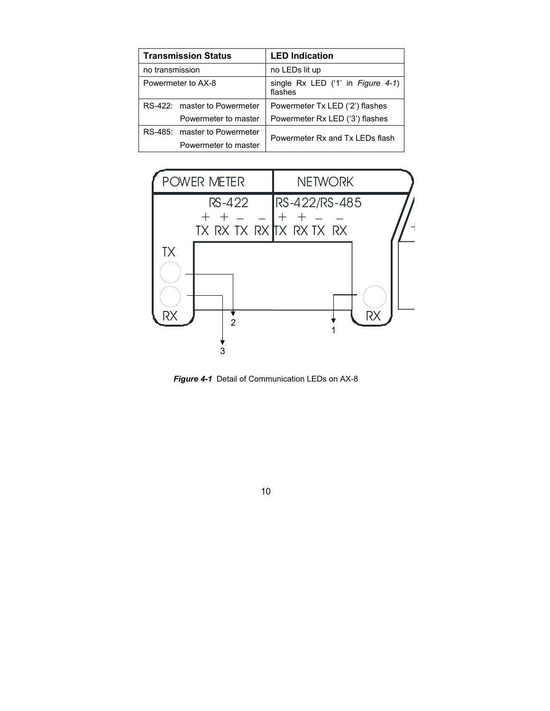| <b>Transmission Status</b>   | <b>LED Indication</b>                          |  |  |
|------------------------------|------------------------------------------------|--|--|
| no transmission              | no LEDs lit up                                 |  |  |
| Powermeter to AX-8           | single $Rx$ LED ('1' in Figure 4-1)<br>flashes |  |  |
| RS-422: master to Powermeter | Powermeter Tx LED ('2') flashes                |  |  |
| Powermeter to master         | Powermeter Rx LED ('3') flashes                |  |  |
| RS-485: master to Powermeter | Powermeter Rx and Tx LEDs flash                |  |  |
| Powermeter to master         |                                                |  |  |



*Figure 4-1*Detail of Communication LEDs on AX-8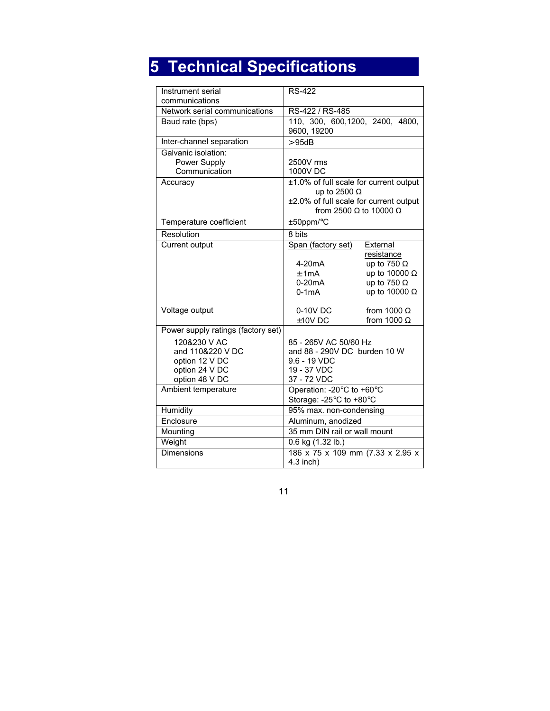# <span id="page-13-0"></span>**5 Technical Specifications**

| Instrument serial<br>communications                                                    | <b>RS-422</b>                                                                                                                                   |                                                                                                                    |  |
|----------------------------------------------------------------------------------------|-------------------------------------------------------------------------------------------------------------------------------------------------|--------------------------------------------------------------------------------------------------------------------|--|
| Network serial communications                                                          | RS-422 / RS-485                                                                                                                                 |                                                                                                                    |  |
| Baud rate (bps)                                                                        | 110, 300, 600, 1200, 2400, 4800,<br>9600, 19200                                                                                                 |                                                                                                                    |  |
| Inter-channel separation                                                               | >95dB                                                                                                                                           |                                                                                                                    |  |
| Galvanic isolation:<br>Power Supply<br>Communication                                   | 2500V rms<br>1000V DC                                                                                                                           |                                                                                                                    |  |
| Accuracy                                                                               | ±1.0% of full scale for current output<br>up to 2500 $\Omega$<br>±2.0% of full scale for current output<br>from 2500 $\Omega$ to 10000 $\Omega$ |                                                                                                                    |  |
| Temperature coefficient                                                                | ±50ppm/°C                                                                                                                                       |                                                                                                                    |  |
| Resolution                                                                             | 8 bits                                                                                                                                          |                                                                                                                    |  |
| Current output                                                                         | Span (factory set)<br>4-20 <sub>m</sub> A<br>±1mA<br>$0-20mA$<br>$0-1mA$                                                                        | External<br>resistance<br>up to 750 $\Omega$<br>up to 10000 $\Omega$<br>up to 750 $\Omega$<br>up to 10000 $\Omega$ |  |
| Voltage output                                                                         | 0-10V DC<br>$±10V$ DC                                                                                                                           | from 1000 $\Omega$<br>from 1000 $\Omega$                                                                           |  |
| Power supply ratings (factory set)                                                     |                                                                                                                                                 |                                                                                                                    |  |
| 120&230 V AC<br>and 110&220 V DC<br>option 12 V DC<br>option 24 V DC<br>option 48 V DC | 85 - 265V AC 50/60 Hz<br>and 88 - 290V DC burden 10 W<br>9.6 - 19 VDC<br>19 - 37 VDC<br>37 - 72 VDC                                             |                                                                                                                    |  |
| Ambient temperature                                                                    | Operation: -20°C to +60°C<br>Storage: -25°C to +80°C                                                                                            |                                                                                                                    |  |
| Humidity                                                                               | 95% max. non-condensing                                                                                                                         |                                                                                                                    |  |
| Enclosure                                                                              | Aluminum, anodized                                                                                                                              |                                                                                                                    |  |
| Mounting                                                                               | 35 mm DIN rail or wall mount                                                                                                                    |                                                                                                                    |  |
| Weight                                                                                 | 0.6 kg (1.32 lb.)                                                                                                                               |                                                                                                                    |  |
| Dimensions                                                                             | 186 x 75 x 109 mm (7.33 x 2.95 x<br>$4.3$ inch)                                                                                                 |                                                                                                                    |  |